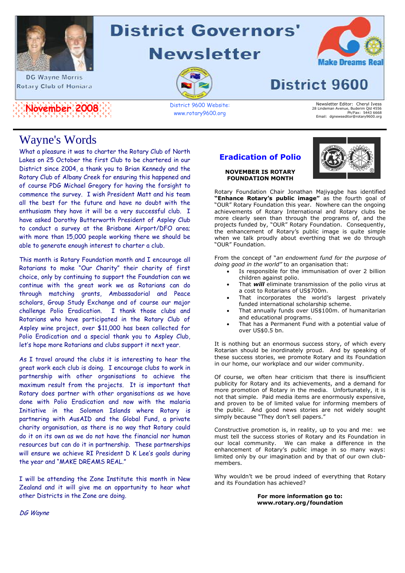

**DG Wayne Morris** Rotary Club of Honiara



# **District Governors'**

**Newsletter** 



www.rotary9600.org



# **District 9600**

Newsletter Editor: Cheryl Ivess<br>28 Lindeman Avenue, Buderim Qld 4556<br>Ph/Fax: 5443 6668<br>Email: dgnewseditor@rotary9600.org

## Wayne's Words

What a pleasure it was to charter the Rotary Club of North Lakes on 25 October the first Club to be chartered in our District since 2004, a thank you to Brian Kennedy and the Rotary Club of Albany Creek for ensuring this happened and of course PDG Michael Gregory for having the forsight to commence the survey. I wish President Matt and his team all the best for the future and have no doubt with the enthusiasm they have it will be a very successful club. I have asked Dorothy Butterworth President of Aspley Club to conduct a survey at the Brisbane Airport/DFO area; with more than 15,000 people working there we should be able to generate enough interest to charter a club.

This month is Rotary Foundation month and I encourage all Rotarians to make "Our Charity" their charity of first choice, only by continuing to support the Foundation can we continue with the great work we as Rotarians can do through matching grants, Ambassadorial and Peace scholars, Group Study Exchange and of course our major challenge Polio Eradication. I thank those clubs and Rotarians who have participated in the Rotary Club of Aspley wine project, over \$11,000 has been collected for Polio Eradication and a special thank you to Aspley Club, let's hope more Rotarians and clubs support it next year.

As I travel around the clubs it is interesting to hear the great work each club is doing. I encourage clubs to work in partnership with other organisations to achieve the maximum result from the projects. It is important that Rotary does partner with other organisations as we have done with Polio Eradication and now with the malaria Initiative in the Solomon Islands where Rotary is partnering with AusAID and the Global Fund, a private charity organisation, as there is no way that Rotary could do it on its own as we do not have the financial nor human resources but can do it in partnership. These partnerships will ensure we achieve RI President D K Lee's goals during the year and "MAKE DREAMS REAL."

I will be attending the Zone Institute this month in New Zealand and it will give me an opportunity to hear what other Districts in the Zone are doing.

## **Eradication of Polio**

**NOVEMBER IS ROTARY FOUNDATION MONTH**



Rotary Foundation Chair Jonathan Majiyagbe has identified **"Enhance Rotary's public image"** as the fourth goal of "OUR" Rotary Foundation this year. Nowhere can the ongoing achievements of Rotary International and Rotary clubs be more clearly seen than through the programs of, and the projects funded by, "OUR" Rotary Foundation. Consequently, the enhancement of Rotary's public image is quite simple when we talk proudly about everthing that we do through "OUR" Foundation.

From the concept of "*an endowment fund for the purpose of doing good in the world"* to an organisation that:

- Is responsible for the immunisation of over 2 billion children against polio.
- That *will* eliminate transmission of the polio virus at a cost to Rotarians of US\$700m.
- That incorporates the world's largest privately funded international scholarship scheme.
- That annually funds over US\$100m. of humanitarian and educational programs.
- That has a Permanent Fund with a potential value of over US\$0.5 bn.

It is nothing but an enormous success story, of which every Rotarian should be inordinately proud. And by speaking of these success stories, we promote Rotary and its Foundation in our home, our workplace and our wider community.

Of course, we often hear criticism that there is insufficient publicity for Rotary and its achievements, and a demand for more promotion of Rotary in the media. Unfortunately, it is not that simple. Paid media items are enormously expensive, and proven to be of limited value for informing members of the public. And good news stories are not widely sought simply because "They don't sell papers."

Constructive promotion is, in reality, up to you and me: we must tell the success stories of Rotary and its Foundation in our local community. We can make a difference in the enhancement of Rotary's public image in so many ways: limited only by our imagination and by that of our own clubmembers.

Why wouldn't we be proud indeed of everything that Rotary and its Foundation has achieved?

#### **For more information go to: www.rotary.org/foundation**

DG Wayne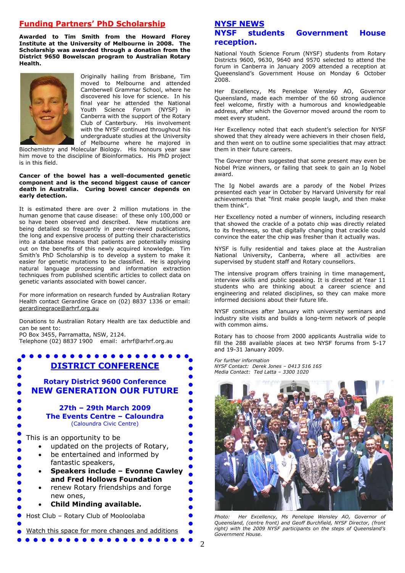### **Funding Partners' PhD Scholarship**

**Awarded to Tim Smith from the Howard Florey Institute at the University of Melbourne in 2008. The Scholarship was awarded through a donation from the District 9650 Bowelscan program to Australian Rotary Health.**



Originally hailing from Brisbane, Tim moved to Melbourne and attended Camberwell Grammar School, where he discovered his love for science. In his final year he attended the National Youth Science Forum (NYSF) in Canberra with the support of the Rotary Club of Canterbury. His involvement with the NYSF continued throughout his undergraduate studies at the University of Melbourne where he majored in

Biochemistry and Molecular Biology. His honours year saw him move to the discipline of Bioinformatics. His PhD project is in this field.

#### **Cancer of the bowel has a well-documented genetic component and is the second biggest cause of cancer death in Australia. Curing bowel cancer depends on early detection.**

It is estimated there are over 2 million mutations in the human genome that cause disease: of these only 100,000 or so have been observed and described. New mutations are being detailed so frequently in peer-reviewed publications, the long and expensive process of putting their characteristics into a database means that patients are potentially missing out on the benefits of this newly acquired knowledge. Tim Smith's PhD Scholarship is to develop a system to make it easier for genetic mutations to be classified. He is applying natural language processing and information extraction techniques from published scientific articles to collect data on genetic variants associated with bowel cancer.

For more information on research funded by Australian Rotary Health contact Gerardine Grace on (02) 8837 1336 or email: [gerardinegrace@arhrf.org.au](mailto:gerardinegrace@arhrf.org.au)

Donations to Australian Rotary Health are tax deductible and can be sent to:

PO Box 3455, Parramatta, NSW, 2124. Telephone (02) 8837 1900 email: arhrf@arhrf.org.au

. . . . . . . . . . . **DISTRICT CONFERENCE Rotary District 9600 Conference NEW GENERATION OUR FUTURE 27th – 29th March 2009 The Events Centre – Caloundra** (Caloundra Civic Centre) This is an opportunity to be updated on the projects of Rotary, be entertained and informed by fantastic speakers, **Speakers include – Evonne Cawley and Fred Hollows Foundation** renew Rotary friendships and forge new ones, **Child Minding available.** Host Club – Rotary Club of Mooloolaba Watch this space for more changes and additions. . . . . . . .

#### **NYSF NEWS NYSF students Government House reception.**

National Youth Science Forum (NYSF) students from Rotary Districts 9600, 9630, 9640 and 9570 selected to attend the forum in Canberra in January 2009 attended a reception at Queeensland's Government House on Monday 6 October 2008.

Her Excellency, Ms Penelope Wensley AO, Governor Queensland, made each member of the 60 strong audience feel welcome, firstly with a humorous and knowledgeable address, after which the Governor moved around the room to meet every student.

Her Excellency noted that each student's selection for NYSF showed that they already were achievers in their chosen field, and then went on to outline some specialities that may attract them in their future careers.

The Governor then suggested that some present may even be Nobel Prize winners, or failing that seek to gain an Ig Nobel award.

The Ig Nobel awards are a parody of the Nobel Prizes presented each year in October by Harvard University for real achievements that "first make people laugh, and then make them think".

Her Excellency noted a number of winners, including research that showed the crackle of a potato chip was directly related to its freshness, so that digitally changing that crackle could convince the eater the chip was fresher than it actually was.

NYSF is fully residential and takes place at the Australian National University, Canberra, where all activities are supervised by student staff and Rotary counsellors.

The intensive program offers training in time management, interview skills and public speaking. It is directed at Year 11 students who are thinking about a career science and engineering and related disciplines, so they can make more informed decisions about their future life.

NYSF continues after January with university seminars and industry site visits and builds a long-term network of people with common aims.

Rotary has to choose from 2000 applicants Australia wide to fill the 288 available places at two NYSF forums from 5-17 and 19-31 January 2009.

*For further information NYSF Contact: Derek Jones – 0413 516 165 Media Contact: Ted Latta – 3300 1020*



*Photo: Her Excellency, Ms Penelope Wensley AO, Governor of Queensland, (centre front) and Geoff Burchfield, NYSF Director, (front right) with the 2009 NYSF participants on the steps of Queensland's Government House.*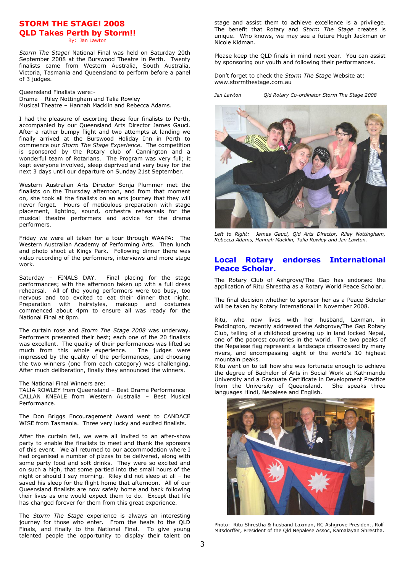## **STORM THE STAGE! 2008 QLD Takes Perth by Storm!!**

By: Jan Lawton

*Storm The Stage!* National Final was held on Saturday 20th September 2008 at the Burswood Theatre in Perth. Twenty finalists came from Western Australia, South Australia, Victoria, Tasmania and Queensland to perform before a panel of 3 judges.

Queensland Finalists were:- Drama – Riley Nottingham and Talia Rowley Musical Theatre – Hannah Macklin and Rebecca Adams.

I had the pleasure of escorting these four finalists to Perth, accompanied by our Queensland Arts Director James Gauci. After a rather bumpy flight and two attempts at landing we finally arrived at the Burswood Holiday Inn in Perth to commence our *Storm The Stage Experience.* The competition is sponsored by the Rotary club of Cannington and a wonderful team of Rotarians. The Program was very full; it kept everyone involved, sleep deprived and very busy for the next 3 days until our departure on Sunday 21st September.

Western Australian Arts Director Sonja Plummer met the finalists on the Thursday afternoon, and from that moment on, she took all the finalists on an arts journey that they will never forget. Hours of meticulous preparation with stage placement, lighting, sound, orchestra rehearsals for the musical theatre performers and advice for the drama performers.

Friday we were all taken for a tour through WAAPA: The Western Australian Academy of Performing Arts. Then lunch and photo shoot at Kings Park. Following dinner there was video recording of the performers, interviews and more stage work.

Saturday – FINALS DAY. Final placing for the stage performances; with the afternoon taken up with a full dress rehearsal. All of the young performers were too busy, too nervous and too excited to eat their dinner that night. Preparation with hairstyles, makeup and costumes commenced about 4pm to ensure all was ready for the National Final at 8pm.

The curtain rose and *Storm The Stage 2008* was underway. Performers presented their best; each one of the 20 finalists was excellent. The quality of their performances was lifted so much from this whole experience. The judges were impressed by the quality of the performances, and choosing the two winners (one from each category) was challenging. After much deliberation, finally they announced the winners.

The National Final Winners are:

TALIA ROWLEY from Queensland – Best Drama Performance CALLAN KNEALE from Western Australia – Best Musical Performance.

The Don Briggs Encouragement Award went to CANDACE WISE from Tasmania. Three very lucky and excited finalists.

After the curtain fell, we were all invited to an after-show party to enable the finalists to meet and thank the sponsors of this event. We all returned to our accommodation where I had organised a number of pizzas to be delivered, along with some party food and soft drinks. They were so excited and on such a high, that some partied into the small hours of the night or should I say morning. Riley did not sleep at all – he saved his sleep for the flight home that afternoon. All of our Queensland finalists are now safely home and back following their lives as one would expect them to do. Except that life has changed forever for them from this great experience.

The *Storm The Stage* experience is always an interesting journey for those who enter. From the heats to the QLD Finals, and finally to the National Final. To give young talented people the opportunity to display their talent on

stage and assist them to achieve excellence is a privilege. The benefit that Rotary and *Storm The Stage* creates is unique. Who knows, we may see a future Hugh Jackman or Nicole Kidman.

Please keep the QLD finals in mind next year. You can assist by sponsoring our youth and following their performances.

Don't forget to check the *Storm The Stage* Website at: [www.stormthestage.com.au](http://www.stormthestage.com.au/)

*Jan Lawton Qld Rotary Co-ordinator Storm The Stage 2008* 



*Left to Right: James Gauci, Qld Arts Director, Riley Nottingham, Rebecca Adams, Hannah Macklin, Talia Rowley and Jan Lawton.*

#### **Local Rotary endorses International Peace Scholar.**

The Rotary Club of Ashgrove/The Gap has endorsed the application of Ritu Shrestha as a Rotary World Peace Scholar.

The final decision whether to sponsor her as a Peace Scholar will be taken by Rotary International in November 2008.

Ritu, who now lives with her husband, Laxman, in Paddington, recently addressed the Ashgrove/The Gap Rotary Club, telling of a childhood growing up in land locked Nepal, one of the poorest countries in the world. The two peaks of the Nepalese flag represent a landscape crisscrossed by many rivers, and encompassing eight of the world's 10 highest mountain peaks.

Ritu went on to tell how she was fortunate enough to achieve the degree of Bachelor of Arts in Social Work at Kathmandu University and a Graduate Certificate in Development Practice<br>from the University of Queensland. She speaks three from the University of Oueensland. languages Hindi, Nepalese and English.



Photo: Ritu Shrestha & husband Laxman, RC Ashgrove President, Rolf Mitsdorffer, President of the Qld Nepalese Assoc, Kamalayan Shrestha.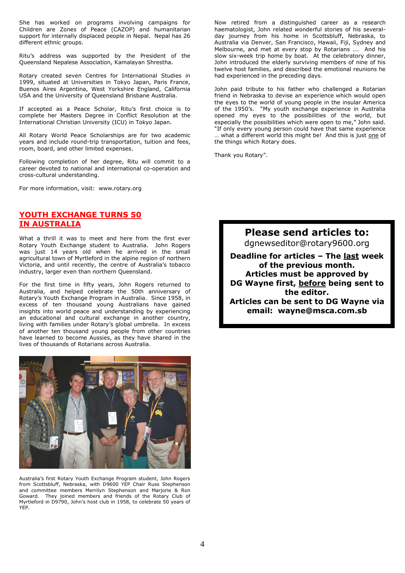She has worked on programs involving campaigns for Children are Zones of Peace (CAZOP) and humanitarian support for internally displaced people in Nepal. Nepal has 26 different ethnic groups.

Ritu's address was supported by the President of the Queensland Nepalese Association, Kamalayan Shrestha.

Rotary created seven Centres for International Studies in 1999, situated at Universities in Tokyo Japan, Paris France, Buenos Aires Argentina, West Yorkshire England, California USA and the University of Queensland Brisbane Australia.

If accepted as a Peace Scholar, Ritu's first choice is to complete her Masters Degree in Conflict Resolution at the International Christian University (ICU) in Tokyo Japan.

All Rotary World Peace Scholarships are for two academic years and include round-trip transportation, tuition and fees, room, board, and other limited expenses.

Following completion of her degree, Ritu will commit to a career devoted to national and international co-operation and cross-cultural understanding.

For more information, visit: www.rotary.org

### **YOUTH EXCHANGE TURNS 50 IN AUSTRALIA**

What a thrill it was to meet and here from the first ever Rotary Youth Exchange student to Australia. John Rogers was just 14 years old when he arrived in the small agricultural town of Myrtleford in the alpine region of northern Victoria, and until recently, the centre of Australia's tobacco industry, larger even than northern Queensland.

For the first time in fifty years, John Rogers returned to Australia, and helped celebrate the 50th anniversary of Rotary's Youth Exchange Program in Australia. Since 1958, in excess of ten thousand young Australians have gained insights into world peace and understanding by experiencing an educational and cultural exchange in another country, living with families under Rotary's global umbrella. In excess of another ten thousand young people from other countries have learned to become Aussies, as they have shared in the lives of thousands of Rotarians across Australia.



Australia's first Rotary Youth Exchange Program student, John Rogers from Scottsbluff, Nebraska, with D9600 YEP Chair Russ Stephenson and committee members Merrilyn Stephenson and Marjorie & Ron Goward. They joined members and friends of the Rotary Club of Myrtleford in D9790, John's host club in 1958, to celebrate 50 years of YEP.

Now retired from a distinguished career as a research haematologist, John related wonderful stories of his severalday journey from his home in Scottsbluff, Nebraska, to Australia via Denver, San Francisco, Hawaii, Fiji, Sydney and Melbourne, and met at every stop by Rotarians …. And his slow six-week trip home by boat. At the celebratory dinner, John introduced the elderly surviving members of nine of his twelve host families, and described the emotional reunions he had experienced in the preceding days.

John paid tribute to his father who challenged a Rotarian friend in Nebraska to devise an experience which would open the eyes to the world of young people in the insular America of the 1950's. "My youth exchange experience in Australia opened my eyes to the possibilities of the world, but especially the possibilities which were open to me," John said. "If only every young person could have that same experience ... what a different world this might be! And this is just one of the things which Rotary does.

Thank you Rotary".

**Please send articles to:** [dgnewseditor@rotary9600.org](mailto:dgnewseditor@rotary9600.org)

**Deadline for articles – The last week of the previous month. Articles must be approved by DG Wayne first, before being sent to the editor.**

**Articles can be sent to DG Wayne via email: wayne@msca.com.sb**